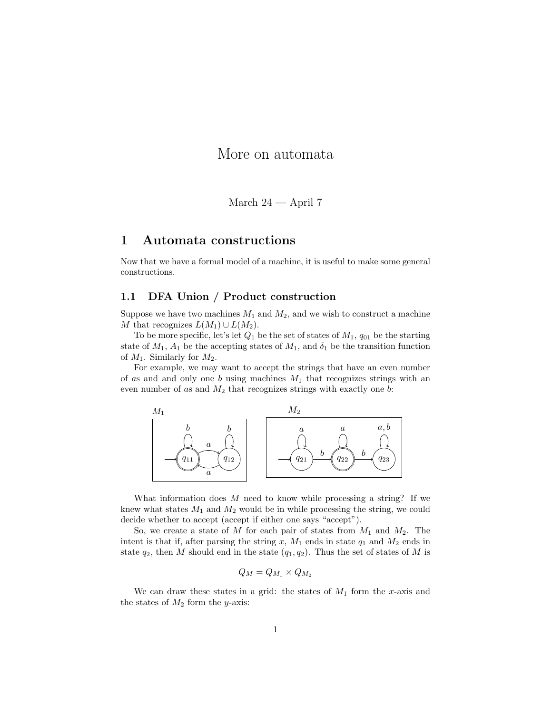# More on automata

March 24 — April 7

## 1 Automata constructions

Now that we have a formal model of a machine, it is useful to make some general constructions.

### 1.1 DFA Union / Product construction

Suppose we have two machines  $M_1$  and  $M_2$ , and we wish to construct a machine M that recognizes  $L(M_1) \cup L(M_2)$ .

To be more specific, let's let  $Q_1$  be the set of states of  $M_1$ ,  $q_{01}$  be the starting state of  $M_1$ ,  $A_1$  be the accepting states of  $M_1$ , and  $\delta_1$  be the transition function of  $M_1$ . Similarly for  $M_2$ .

For example, we may want to accept the strings that have an even number of as and and only one  $b$  using machines  $M_1$  that recognizes strings with an even number of as and  $M_2$  that recognizes strings with exactly one b:



What information does  $M$  need to know while processing a string? If we knew what states  $M_1$  and  $M_2$  would be in while processing the string, we could decide whether to accept (accept if either one says "accept").

So, we create a state of M for each pair of states from  $M_1$  and  $M_2$ . The intent is that if, after parsing the string x,  $M_1$  ends in state  $q_1$  and  $M_2$  ends in state  $q_2$ , then M should end in the state  $(q_1, q_2)$ . Thus the set of states of M is

$$
Q_M = Q_{M_1} \times Q_{M_2}
$$

We can draw these states in a grid: the states of  $M_1$  form the x-axis and the states of  $M_2$  form the y-axis: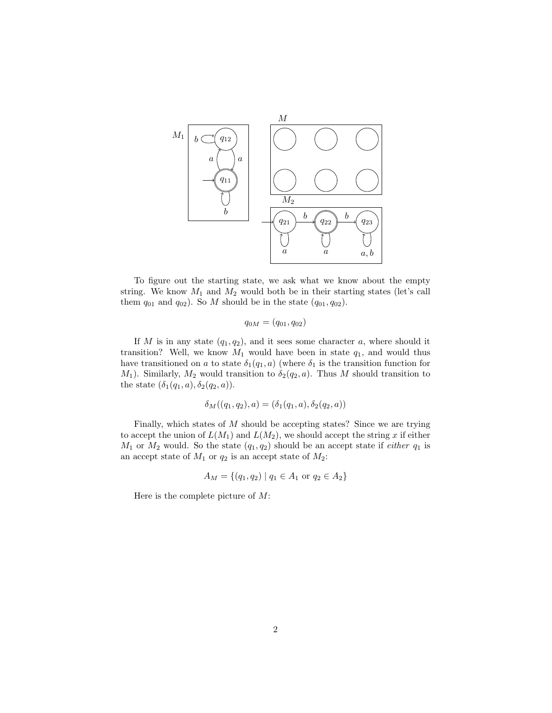

To figure out the starting state, we ask what we know about the empty string. We know  $M_1$  and  $M_2$  would both be in their starting states (let's call them  $q_{01}$  and  $q_{02}$ ). So M should be in the state  $(q_{01}, q_{02})$ .

$$
q_{0M} = (q_{01}, q_{02})
$$

If M is in any state  $(q_1, q_2)$ , and it sees some character a, where should it transition? Well, we know  $M_1$  would have been in state  $q_1$ , and would thus have transitioned on a to state  $\delta_1(q_1, a)$  (where  $\delta_1$  is the transition function for  $M_1$ ). Similarly,  $M_2$  would transition to  $\delta_2(q_2, a)$ . Thus M should transition to the state  $(\delta_1(q_1, a), \delta_2(q_2, a)).$ 

$$
\delta_M((q_1, q_2), a) = (\delta_1(q_1, a), \delta_2(q_2, a))
$$

Finally, which states of M should be accepting states? Since we are trying to accept the union of  $L(M_1)$  and  $L(M_2)$ , we should accept the string x if either  $M_1$  or  $M_2$  would. So the state  $(q_1, q_2)$  should be an accept state if *either*  $q_1$  is an accept state of  $M_1$  or  $q_2$  is an accept state of  $M_2$ :

$$
A_M = \{(q_1, q_2) \mid q_1 \in A_1 \text{ or } q_2 \in A_2\}
$$

Here is the complete picture of  $M$ :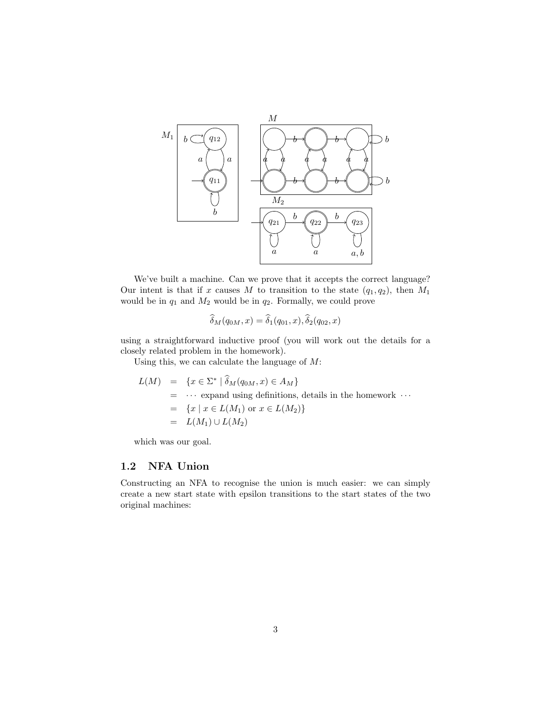

We've built a machine. Can we prove that it accepts the correct language? Our intent is that if x causes M to transition to the state  $(q_1, q_2)$ , then  $M_1$ would be in  $q_1$  and  $M_2$  would be in  $q_2$ . Formally, we could prove

$$
\widehat{\delta}_M(q_{0M},x) = \widehat{\delta}_1(q_{01},x), \widehat{\delta}_2(q_{02},x)
$$

using a straightforward inductive proof (you will work out the details for a closely related problem in the homework).

Using this, we can calculate the language of  $M$ :

$$
L(M) = \{x \in \Sigma^* \mid \hat{\delta}_M(q_{0M}, x) \in A_M\}
$$
  
= ... expand using definitions, details in the homework ...  
=  $\{x \mid x \in L(M_1) \text{ or } x \in L(M_2)\}$   
=  $L(M_1) \cup L(M_2)$ 

which was our goal.

#### 1.2 NFA Union

Constructing an NFA to recognise the union is much easier: we can simply create a new start state with epsilon transitions to the start states of the two original machines: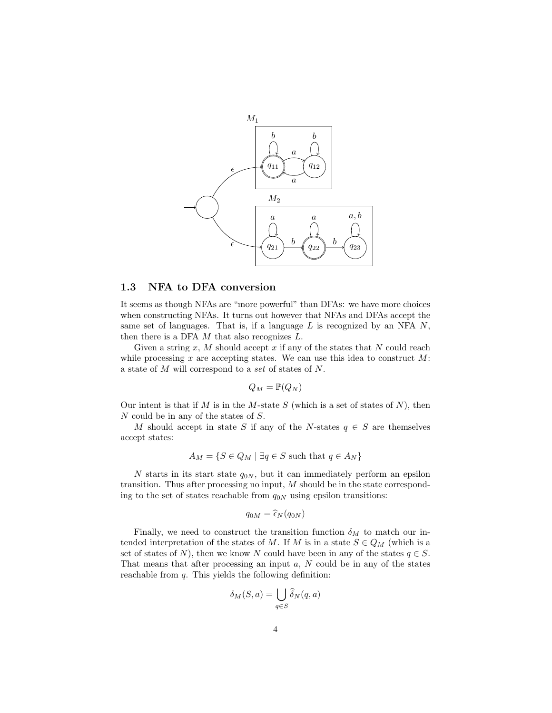

#### 1.3 NFA to DFA conversion

It seems as though NFAs are "more powerful" than DFAs: we have more choices when constructing NFAs. It turns out however that NFAs and DFAs accept the same set of languages. That is, if a language  $L$  is recognized by an NFA  $N$ , then there is a DFA  $M$  that also recognizes  $L$ .

Given a string  $x$ ,  $M$  should accept  $x$  if any of the states that  $N$  could reach while processing x are accepting states. We can use this idea to construct  $M$ : a state of M will correspond to a set of states of N.

$$
Q_M = \mathbb{P}(Q_N)
$$

Our intent is that if  $M$  is in the  $M$ -state  $S$  (which is a set of states of  $N$ ), then N could be in any of the states of S.

M should accept in state S if any of the N-states  $q \in S$  are themselves accept states:

$$
A_M = \{ S \in Q_M \mid \exists q \in S \text{ such that } q \in A_N \}
$$

N starts in its start state  $q_{0N}$ , but it can immediately perform an epsilon transition. Thus after processing no input, M should be in the state corresponding to the set of states reachable from  $q_{0N}$  using epsilon transitions:

$$
q_{0M} = \widehat{\epsilon}_N(q_{0N})
$$

Finally, we need to construct the transition function  $\delta_M$  to match our intended interpretation of the states of M. If M is in a state  $S \in Q_M$  (which is a set of states of N), then we know N could have been in any of the states  $q \in S$ . That means that after processing an input  $a, N$  could be in any of the states reachable from  $q$ . This yields the following definition:

$$
\delta_M(S, a) = \bigcup_{q \in S} \widehat{\delta}_N(q, a)
$$